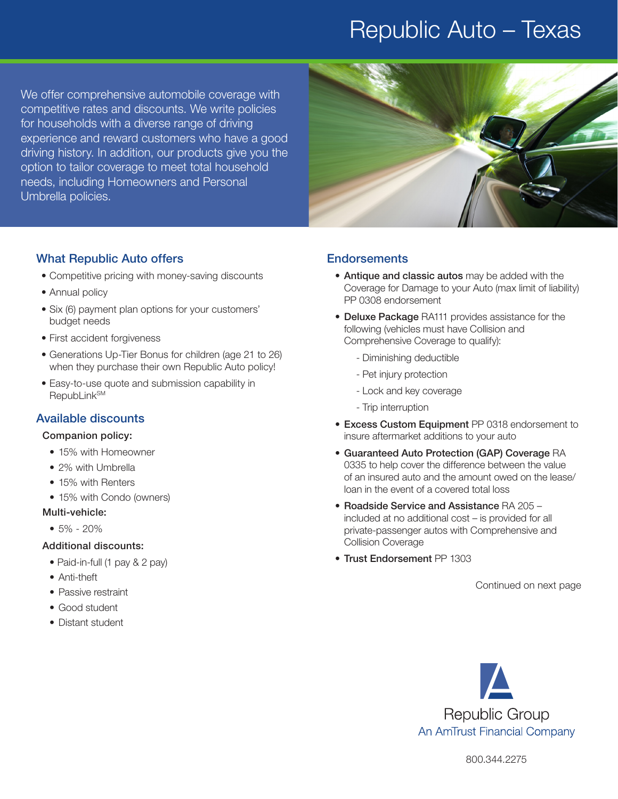## Republic Auto – Texas

We offer comprehensive automobile coverage with competitive rates and discounts. We write policies for households with a diverse range of driving experience and reward customers who have a good driving history. In addition, our products give you the option to tailor coverage to meet total household needs, including Homeowners and Personal Umbrella policies.



#### What Republic Auto offers

- Competitive pricing with money-saving discounts
- Annual policy
- Six (6) payment plan options for your customers' budget needs
- First accident forgiveness
- Generations Up-Tier Bonus for children (age 21 to 26) when they purchase their own Republic Auto policy!
- Easy-to-use quote and submission capability in **RepubLink<sup>SM</sup>**

### Available discounts

#### Companion policy:

- 15% with Homeowner
- 2% with Umbrella
- 15% with Renters
- 15% with Condo (owners)
- Multi-vehicle:
	- 5% 20%

#### Additional discounts:

- Paid-in-full (1 pay & 2 pay)
- Anti-theft
- Passive restraint
- Good student
- Distant student

#### **Endorsements**

- Antique and classic autos may be added with the Coverage for Damage to your Auto (max limit of liability) PP 0308 endorsement
- Deluxe Package RA111 provides assistance for the following (vehicles must have Collision and Comprehensive Coverage to qualify):
	- Diminishing deductible
	- Pet injury protection
	- Lock and key coverage
	- Trip interruption
- Excess Custom Equipment PP 0318 endorsement to insure aftermarket additions to your auto
- Guaranteed Auto Protection (GAP) Coverage RA 0335 to help cover the difference between the value of an insured auto and the amount owed on the lease/ loan in the event of a covered total loss
- Roadside Service and Assistance RA 205 included at no additional cost – is provided for all private-passenger autos with Comprehensive and Collision Coverage
- Trust Endorsement PP 1303

Continued on next page